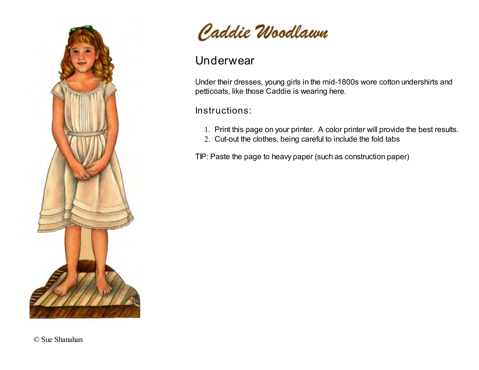

Caddie Woodlawn

#### Underwear

Under their dresses, young girls in the mid-1800s wore cotton undershirts and petticoats, like those Caddie is wearing here.

Instructions:

- 1. Print this page on your printer. A color printer will provide the best results.
- 2. Cut-out the clothes, being careful to include the fold tabs

TIP: Paste the page to heavy paper (such as construction paper)

© Sue Shanahan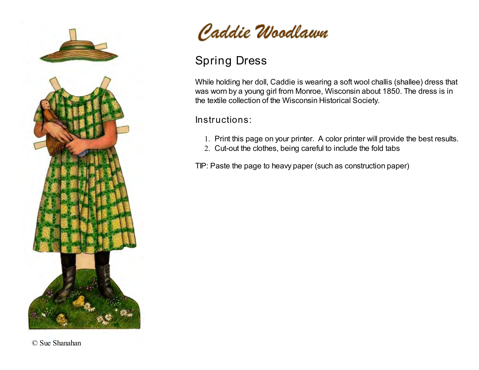

# Caddie Woodlawn

#### Spring Dress

While holding her doll, Caddie is wearing a soft wool challis (shallee) dress that was worn by a young girl from Monroe, Wisconsin about 1850. The dress is in the textile collection of the Wisconsin Historical Society.

Instructions:

- 1. Print this page on your printer. A color printer will provide the best results.
- 2. Cut-out the clothes, being careful to include the fold tabs

TIP: Paste the page to heavy paper (such as construction paper)

© Sue Shanahan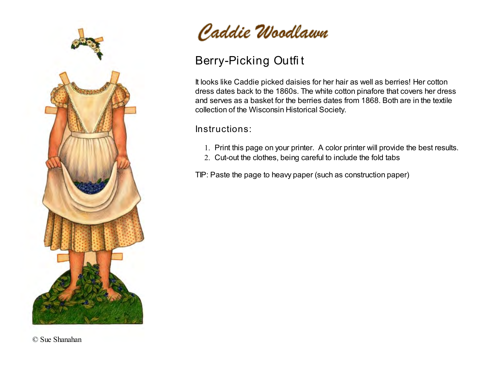

# Caddie Woodlawn

### Berry-Picking Outfi t

It looks like Caddie picked daisies for her hair as well as berries! Her cotton dress dates back to the 1860s. The white cotton pinafore that covers her dress and serves as a basket for the berries dates from 1868. Both are in the textile collection of the Wisconsin Historical Society.

Instructions:

- 1. Print this page on your printer. A color printer will provide the best results.
- 2. Cut-out the clothes, being careful to include the fold tabs

TIP: Paste the page to heavy paper (such as construction paper)

© Sue Shanahan